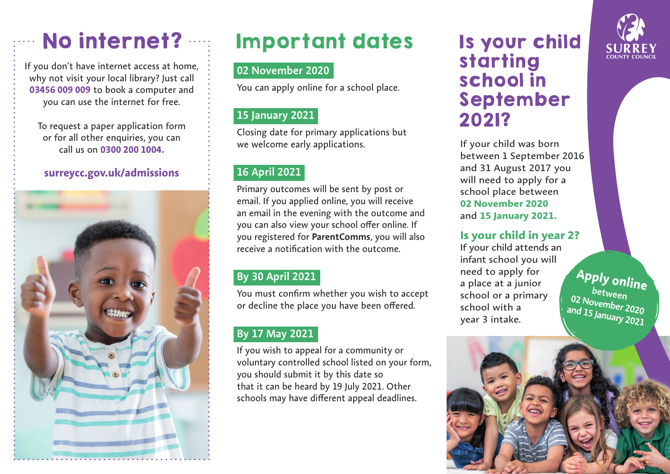If you don't have internet access at home, why not visit your local library? Just call **03456 009 009** to book a computer and you can use the internet for free.

To request a paper application form or for all other enquiries, you can call us on **0300 200 1004.**

### **surreycc.gov.uk/admissions**



# No internet? The Important dates The your child

## **02 November 2020**

You can apply online for a school place.

## **15 January 2021**

Closing date for primary applications but we welcome early applications.

## **16 April 2021**

Primary outcomes will be sent by post or email. If you applied online, you will receive an email in the evening with the outcome and you can also view your school offer online. If you registered for **ParentComms**, you will also receive a notification with the outcome.

# **By 30 April 2021**

You must confirm whether you wish to accept or decline the place you have been offered.

# **By 17 May 2021**

If you wish to appeal for a community or voluntary controlled school listed on your form, you should submit it by this date so that it can be heard by 19 July 2021. Other schools may have different appeal deadlines.

# starting school in September 2021?

If your child was born between 1 September 2016 and 31 August 2017 you will need to apply for a school place between **02 November 2020** and **15 January 2021.**

## **Is your child in year 2?**

If your child attends an infant school you will need to apply for a place at a junior school or a primary school with a year 3 intake.

**Apply online between 02 November 2020 and 15 January 2021**